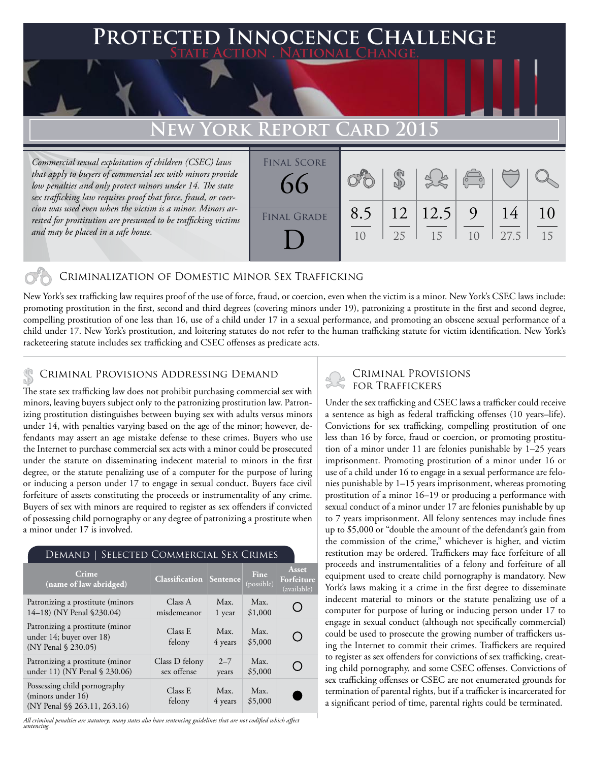## **Protected Innocence Challenge State Action . National Change.**

# **New York Report Card 2015**

*Commercial sexual exploitation of children (CSEC) laws that apply to buyers of commercial sex with minors provide low penalties and only protect minors under 14. The state sex trafficking law requires proof that force, fraud, or coercion was used even when the victim is a minor. Minors arrested for prostitution are presumed to be trafficking victims and may be placed in a safe house.*

| <b>FINAL SCORE</b><br>66 |           |    |                   | $\left  \begin{array}{c} \left\langle \leftarrow \right. \\ \left\langle \leftarrow \right. \right. \end{array} \right $ |            |          |
|--------------------------|-----------|----|-------------------|--------------------------------------------------------------------------------------------------------------------------|------------|----------|
| <b>FINAL GRADE</b>       | 8.5<br>10 | 25 | 12  12.5  9<br>15 | 10                                                                                                                       | 14<br>27.5 | 10<br>15 |

### Criminalization of Domestic Minor Sex Trafficking

New York's sex trafficking law requires proof of the use of force, fraud, or coercion, even when the victim is a minor. New York's CSEC laws include: promoting prostitution in the first, second and third degrees (covering minors under 19), patronizing a prostitute in the first and second degree, compelling prostitution of one less than 16, use of a child under 17 in a sexual performance, and promoting an obscene sexual performance of a child under 17. New York's prostitution, and loitering statutes do not refer to the human trafficking statute for victim identification. New York's racketeering statute includes sex trafficking and CSEC offenses as predicate acts.

## Criminal Provisions Addressing Demand \$

The state sex trafficking law does not prohibit purchasing commercial sex with minors, leaving buyers subject only to the patronizing prostitution law. Patronizing prostitution distinguishes between buying sex with adults versus minors under 14, with penalties varying based on the age of the minor; however, defendants may assert an age mistake defense to these crimes. Buyers who use the Internet to purchase commercial sex acts with a minor could be prosecuted under the statute on disseminating indecent material to minors in the first degree, or the statute penalizing use of a computer for the purpose of luring or inducing a person under 17 to engage in sexual conduct. Buyers face civil forfeiture of assets constituting the proceeds or instrumentality of any crime. Buyers of sex with minors are required to register as sex offenders if convicted of possessing child pornography or any degree of patronizing a prostitute when a minor under 17 is involved.

#### Demand | Selected Commercial Sex Crimes **Asset Crime (name of law abridged) Classification Sentence Fine Forfeiture**  (possible) (available) Class A Patronizing a prostitute (minors Max. Max.  $\bigcirc$ 14–18) (NY Penal §230.04) misdemeanor \$1,000 1 year Patronizing a prostitute (minor Class E Max. Max.  $\bigcirc$ under 14; buyer over 18) felony 4 years \$5,000 (NY Penal § 230.05) Class D felony  $2 - 7$ Patronizing a prostitute (minor Max.  $\bigcirc$ under 11) (NY Penal § 230.06) sex offense \$5,000 years Possessing child pornography Class E Max. Max. (minors under 16) felony 4 years \$5,000(NY Penal §§ 263.11, 263.16)

*All criminal penalties are statutory; many states also have sentencing guidelines that are not codified which affect sentencing.* 

## Criminal Provisions for Traffickers

Under the sex trafficking and CSEC laws a trafficker could receive a sentence as high as federal trafficking offenses (10 years–life). Convictions for sex trafficking, compelling prostitution of one less than 16 by force, fraud or coercion, or promoting prostitution of a minor under 11 are felonies punishable by 1–25 years imprisonment. Promoting prostitution of a minor under 16 or use of a child under 16 to engage in a sexual performance are felonies punishable by 1–15 years imprisonment, whereas promoting prostitution of a minor 16–19 or producing a performance with sexual conduct of a minor under 17 are felonies punishable by up to 7 years imprisonment. All felony sentences may include fines up to \$5,000 or "double the amount of the defendant's gain from the commission of the crime," whichever is higher, and victim restitution may be ordered. Traffickers may face forfeiture of all proceeds and instrumentalities of a felony and forfeiture of all equipment used to create child pornography is mandatory. New York's laws making it a crime in the first degree to disseminate indecent material to minors or the statute penalizing use of a computer for purpose of luring or inducing person under 17 to engage in sexual conduct (although not specifically commercial) could be used to prosecute the growing number of traffickers using the Internet to commit their crimes. Traffickers are required to register as sex offenders for convictions of sex trafficking, creating child pornography, and some CSEC offenses. Convictions of sex trafficking offenses or CSEC are not enumerated grounds for termination of parental rights, but if a trafficker is incarcerated for a significant period of time, parental rights could be terminated.